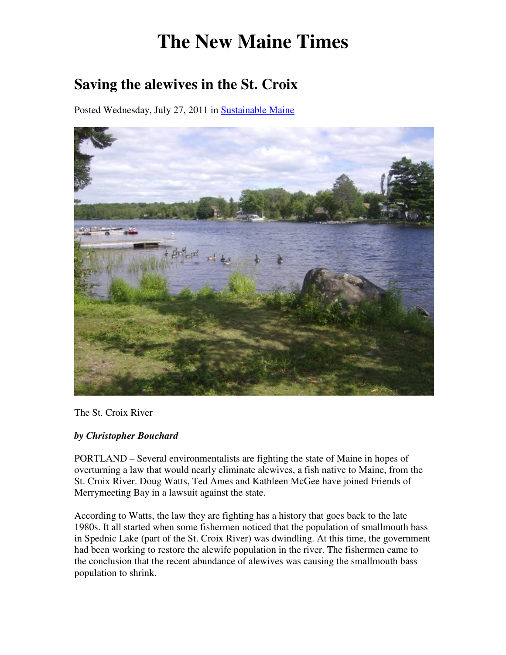## **The New Maine Times**

## **Saving the alewives in the St. Croix**

Posted Wednesday, July 27, 2011 in Sustainable Maine



The St. Croix River

## *by Christopher Bouchard*

PORTLAND – Several environmentalists are fighting the state of Maine in hopes of overturning a law that would nearly eliminate alewives, a fish native to Maine, from the St. Croix River. Doug Watts, Ted Ames and Kathleen McGee have joined Friends of Merrymeeting Bay in a lawsuit against the state.

According to Watts, the law they are fighting has a history that goes back to the late 1980s. It all started when some fishermen noticed that the population of smallmouth bass in Spednic Lake (part of the St. Croix River) was dwindling. At this time, the government had been working to restore the alewife population in the river. The fishermen came to the conclusion that the recent abundance of alewives was causing the smallmouth bass population to shrink.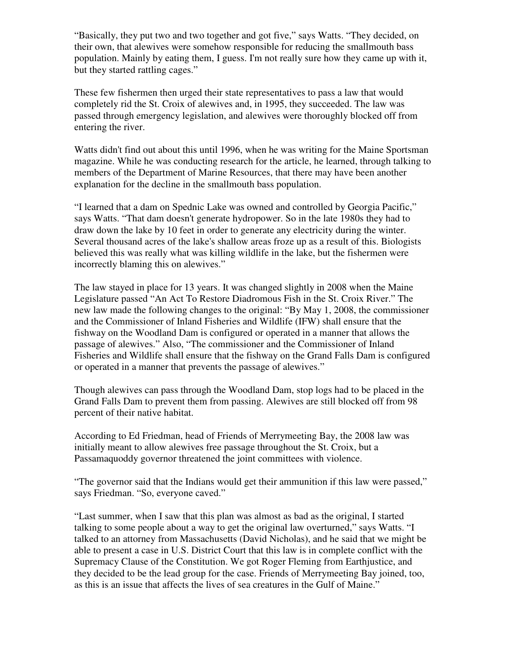"Basically, they put two and two together and got five," says Watts. "They decided, on their own, that alewives were somehow responsible for reducing the smallmouth bass population. Mainly by eating them, I guess. I'm not really sure how they came up with it, but they started rattling cages."

These few fishermen then urged their state representatives to pass a law that would completely rid the St. Croix of alewives and, in 1995, they succeeded. The law was passed through emergency legislation, and alewives were thoroughly blocked off from entering the river.

Watts didn't find out about this until 1996, when he was writing for the Maine Sportsman magazine. While he was conducting research for the article, he learned, through talking to members of the Department of Marine Resources, that there may have been another explanation for the decline in the smallmouth bass population.

"I learned that a dam on Spednic Lake was owned and controlled by Georgia Pacific," says Watts. "That dam doesn't generate hydropower. So in the late 1980s they had to draw down the lake by 10 feet in order to generate any electricity during the winter. Several thousand acres of the lake's shallow areas froze up as a result of this. Biologists believed this was really what was killing wildlife in the lake, but the fishermen were incorrectly blaming this on alewives."

The law stayed in place for 13 years. It was changed slightly in 2008 when the Maine Legislature passed "An Act To Restore Diadromous Fish in the St. Croix River." The new law made the following changes to the original: "By May 1, 2008, the commissioner and the Commissioner of Inland Fisheries and Wildlife (IFW) shall ensure that the fishway on the Woodland Dam is configured or operated in a manner that allows the passage of alewives." Also, "The commissioner and the Commissioner of Inland Fisheries and Wildlife shall ensure that the fishway on the Grand Falls Dam is configured or operated in a manner that prevents the passage of alewives."

Though alewives can pass through the Woodland Dam, stop logs had to be placed in the Grand Falls Dam to prevent them from passing. Alewives are still blocked off from 98 percent of their native habitat.

According to Ed Friedman, head of Friends of Merrymeeting Bay, the 2008 law was initially meant to allow alewives free passage throughout the St. Croix, but a Passamaquoddy governor threatened the joint committees with violence.

"The governor said that the Indians would get their ammunition if this law were passed," says Friedman. "So, everyone caved."

"Last summer, when I saw that this plan was almost as bad as the original, I started talking to some people about a way to get the original law overturned," says Watts. "I talked to an attorney from Massachusetts (David Nicholas), and he said that we might be able to present a case in U.S. District Court that this law is in complete conflict with the Supremacy Clause of the Constitution. We got Roger Fleming from Earthjustice, and they decided to be the lead group for the case. Friends of Merrymeeting Bay joined, too, as this is an issue that affects the lives of sea creatures in the Gulf of Maine."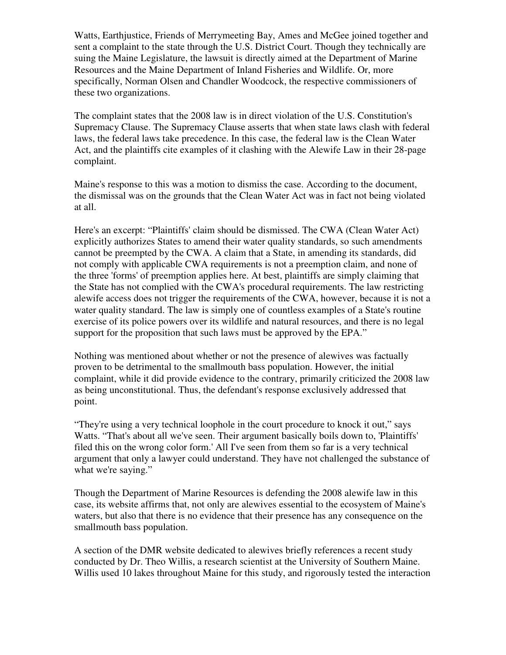Watts, Earthjustice, Friends of Merrymeeting Bay, Ames and McGee joined together and sent a complaint to the state through the U.S. District Court. Though they technically are suing the Maine Legislature, the lawsuit is directly aimed at the Department of Marine Resources and the Maine Department of Inland Fisheries and Wildlife. Or, more specifically, Norman Olsen and Chandler Woodcock, the respective commissioners of these two organizations.

The complaint states that the 2008 law is in direct violation of the U.S. Constitution's Supremacy Clause. The Supremacy Clause asserts that when state laws clash with federal laws, the federal laws take precedence. In this case, the federal law is the Clean Water Act, and the plaintiffs cite examples of it clashing with the Alewife Law in their 28-page complaint.

Maine's response to this was a motion to dismiss the case. According to the document, the dismissal was on the grounds that the Clean Water Act was in fact not being violated at all.

Here's an excerpt: "Plaintiffs' claim should be dismissed. The CWA (Clean Water Act) explicitly authorizes States to amend their water quality standards, so such amendments cannot be preempted by the CWA. A claim that a State, in amending its standards, did not comply with applicable CWA requirements is not a preemption claim, and none of the three 'forms' of preemption applies here. At best, plaintiffs are simply claiming that the State has not complied with the CWA's procedural requirements. The law restricting alewife access does not trigger the requirements of the CWA, however, because it is not a water quality standard. The law is simply one of countless examples of a State's routine exercise of its police powers over its wildlife and natural resources, and there is no legal support for the proposition that such laws must be approved by the EPA."

Nothing was mentioned about whether or not the presence of alewives was factually proven to be detrimental to the smallmouth bass population. However, the initial complaint, while it did provide evidence to the contrary, primarily criticized the 2008 law as being unconstitutional. Thus, the defendant's response exclusively addressed that point.

"They're using a very technical loophole in the court procedure to knock it out," says Watts. "That's about all we've seen. Their argument basically boils down to, 'Plaintiffs' filed this on the wrong color form.' All I've seen from them so far is a very technical argument that only a lawyer could understand. They have not challenged the substance of what we're saying."

Though the Department of Marine Resources is defending the 2008 alewife law in this case, its website affirms that, not only are alewives essential to the ecosystem of Maine's waters, but also that there is no evidence that their presence has any consequence on the smallmouth bass population.

A section of the DMR website dedicated to alewives briefly references a recent study conducted by Dr. Theo Willis, a research scientist at the University of Southern Maine. Willis used 10 lakes throughout Maine for this study, and rigorously tested the interaction